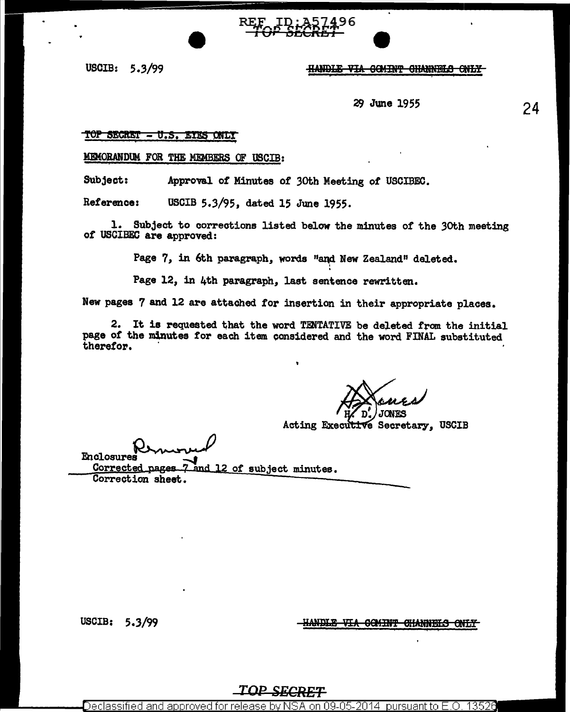USCIB: 5.3/99

#### HANDLE VIA COMINT CHANNELS ONLY

*2JJ* June 1955

# 24

#### TOP SECRET - U.S. EYES ONLY

MFMORANDUM FOR THE MEMBERS OF USCIB:

Subject: Approval *ot* Minutes or 3oth Meeting of USCIBEC.

Reference: USCIB 5.3/95, dated 15 June 1955.

l. Subject to corrections listed below the minutes of the 3oth meeting *ot* USCIBEC are approved:

Page 7, in 6th paragraph, words "and New Zealand" deleted.

Page 12, in 4th paragraph. last sentence rewritten.

New pages 7 and 12 are attached tor insertion in their appropriate places.

2. It is requested that the word TENTATIVE be deleted from the initial page of the minutes for each item considered and the word FINAL substituted therefor.

**CNES** 

## Acting Executive Secretary, USCIB

Enclosures

Corrected pages 7 and 12 of subject minutes.<br>Correction sheet. Corrected pages

USCIB:  $5.3/99$ 

-HANDLE VIA COMINT CHANNELS ONLY

*TOP SECRET* 

Declassified and approved for release by NSA on 09-05-2014  $\,$  pursuant to E.